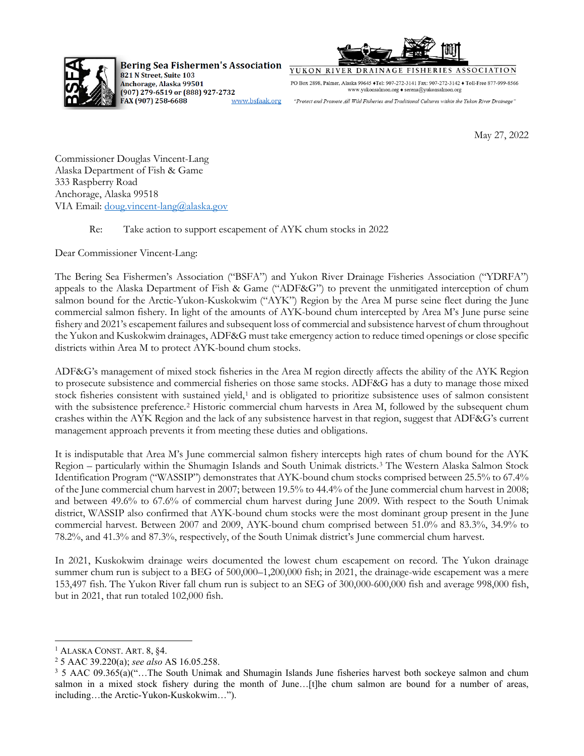

**Bering Sea Fishermen's Association** 821 N Street, Suite 103 Anchorage, Alaska 99501 (907) 279-6519 or (888) 927-2732 FAX (907) 258-6688 www.bsfaak.org



YUKON RIVER DRAINAGE **FISHERIES ASSOCIATION** 

PO Box 2898, Palmer, Alaska 99645 ♦Tel: 907-272-3141 Fax: 907-272-3142 ♦ Toll-Free 877-999-8566 www.yukonsalmon.org $\blacklozenge$ serena@yukonsalmon.org

"Protect and Promote All Wild Fisheries and Traditional Cultures within the Yukon River Drainage

May 27, 2022

Commissioner Douglas Vincent-Lang Alaska Department of Fish & Game 333 Raspberry Road Anchorage, Alaska 99518 VIA Email: [doug.vincent-lang@alaska.gov](mailto:doug.vincent-lang@alaska.gov)

## Re: Take action to support escapement of AYK chum stocks in 2022

Dear Commissioner Vincent-Lang:

The Bering Sea Fishermen's Association ("BSFA") and Yukon River Drainage Fisheries Association ("YDRFA") appeals to the Alaska Department of Fish & Game ("ADF&G") to prevent the unmitigated interception of chum salmon bound for the Arctic-Yukon-Kuskokwim ("AYK") Region by the Area M purse seine fleet during the June commercial salmon fishery. In light of the amounts of AYK-bound chum intercepted by Area M's June purse seine fishery and 2021's escapement failures and subsequent loss of commercial and subsistence harvest of chum throughout the Yukon and Kuskokwim drainages, ADF&G must take emergency action to reduce timed openings or close specific districts within Area M to protect AYK-bound chum stocks.

ADF&G's management of mixed stock fisheries in the Area M region directly affects the ability of the AYK Region to prosecute subsistence and commercial fisheries on those same stocks. ADF&G has a duty to manage those mixed stock fisheries consistent with sustained yield,<sup>[1](#page-0-0)</sup> and is obligated to prioritize subsistence uses of salmon consistent with the subsistence preference.<sup>[2](#page-0-1)</sup> Historic commercial chum harvests in Area M, followed by the subsequent chum crashes within the AYK Region and the lack of any subsistence harvest in that region, suggest that ADF&G's current management approach prevents it from meeting these duties and obligations.

It is indisputable that Area M's June commercial salmon fishery intercepts high rates of chum bound for the AYK Region – particularly within the Shumagin Islands and South Unimak districts.[3](#page-0-2) The Western Alaska Salmon Stock Identification Program ("WASSIP") demonstrates that AYK-bound chum stocks comprised between 25.5% to 67.4% of the June commercial chum harvest in 2007; between 19.5% to 44.4% of the June commercial chum harvest in 2008; and between 49.6% to 67.6% of commercial chum harvest during June 2009. With respect to the South Unimak district, WASSIP also confirmed that AYK-bound chum stocks were the most dominant group present in the June commercial harvest. Between 2007 and 2009, AYK-bound chum comprised between 51.0% and 83.3%, 34.9% to 78.2%, and 41.3% and 87.3%, respectively, of the South Unimak district's June commercial chum harvest.

In 2021, Kuskokwim drainage weirs documented the lowest chum escapement on record. The Yukon drainage summer chum run is subject to a BEG of 500,000–1,200,000 fish; in 2021, the drainage-wide escapement was a mere 153,497 fish. The Yukon River fall chum run is subject to an SEG of 300,000-600,000 fish and average 998,000 fish, but in 2021, that run totaled 102,000 fish.

<span id="page-0-0"></span><sup>&</sup>lt;sup>1</sup> ALASKA CONST. ART. 8, §4.

<span id="page-0-1"></span><sup>2</sup> 5 AAC 39.220(a); *see also* AS 16.05.258.

<span id="page-0-2"></span><sup>3</sup> 5 AAC 09.365(a)("…The South Unimak and Shumagin Islands June fisheries harvest both sockeye salmon and chum salmon in a mixed stock fishery during the month of June…[t]he chum salmon are bound for a number of areas, including…the Arctic-Yukon-Kuskokwim…").